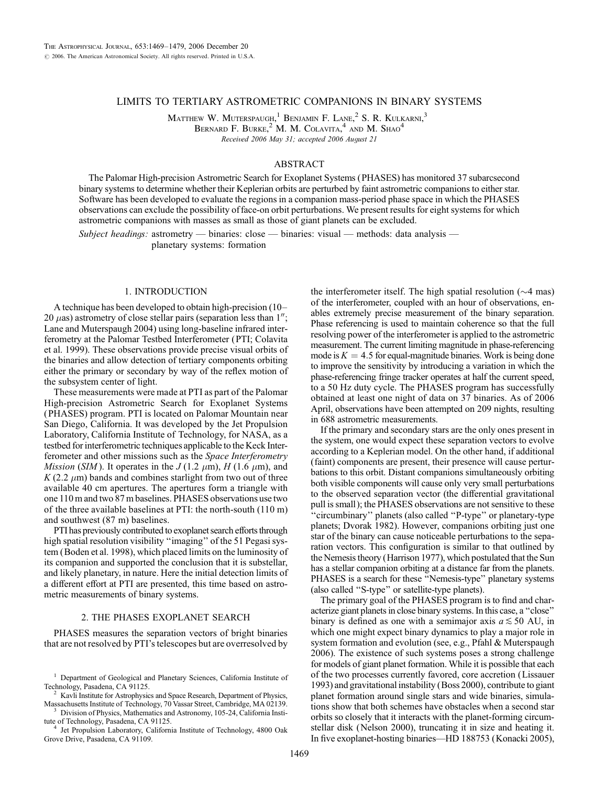# LIMITS TO TERTIARY ASTROMETRIC COMPANIONS IN BINARY SYSTEMS

MATTHEW W. MUTERSPAUGH,<sup>1</sup> BENJAMIN F. LANE,<sup>2</sup> S. R. KULKARNI,<sup>3</sup> BERNARD F. BURKE, $^2$  M. M. COLAVITA, $^4$  and M. Shao<sup>4</sup> Received 2006 May 31; accepted 2006 August 21

## ABSTRACT

The Palomar High-precision Astrometric Search for Exoplanet Systems (PHASES) has monitored 37 subarcsecond binary systems to determine whether their Keplerian orbits are perturbed by faint astrometric companions to either star. Software has been developed to evaluate the regions in a companion mass-period phase space in which the PHASES observations can exclude the possibility of face-on orbit perturbations. We present results for eight systems for which astrometric companions with masses as small as those of giant planets can be excluded.

Subject headings: astrometry — binaries: close — binaries: visual — methods: data analysis planetary systems: formation

## 1. INTRODUCTION

A technique has been developed to obtain high-precision (10– 20  $\mu$ as) astrometry of close stellar pairs (separation less than 1"; Lane and Muterspaugh 2004) using long-baseline infrared interferometry at the Palomar Testbed Interferometer (PTI; Colavita et al. 1999). These observations provide precise visual orbits of the binaries and allow detection of tertiary components orbiting either the primary or secondary by way of the reflex motion of the subsystem center of light.

These measurements were made at PTI as part of the Palomar High-precision Astrometric Search for Exoplanet Systems ( PHASES) program. PTI is located on Palomar Mountain near San Diego, California. It was developed by the Jet Propulsion Laboratory, California Institute of Technology, for NASA, as a testbed for interferometric techniques applicable to the Keck Interferometer and other missions such as the Space Interferometry *Mission (SIM)*. It operates in the  $J(1.2 \mu m)$ ,  $H(1.6 \mu m)$ , and  $K$  (2.2  $\mu$ m) bands and combines starlight from two out of three available 40 cm apertures. The apertures form a triangle with one 110 m and two 87 m baselines. PHASES observations use two of the three available baselines at PTI: the north-south (110 m) and southwest (87 m) baselines.

PTI has previously contributed to exoplanet search efforts through high spatial resolution visibility "imaging" of the 51 Pegasi system (Boden et al. 1998), which placed limits on the luminosity of its companion and supported the conclusion that it is substellar, and likely planetary, in nature. Here the initial detection limits of a different effort at PTI are presented, this time based on astrometric measurements of binary systems.

# 2. THE PHASES EXOPLANET SEARCH

PHASES measures the separation vectors of bright binaries that are not resolved by PTI's telescopes but are overresolved by

Grove Drive, Pasadena, CA 91109.

the interferometer itself. The high spatial resolution ( $\sim$ 4 mas) of the interferometer, coupled with an hour of observations, enables extremely precise measurement of the binary separation. Phase referencing is used to maintain coherence so that the full resolving power of the interferometer is applied to the astrometric measurement. The current limiting magnitude in phase-referencing mode is  $K = 4.5$  for equal-magnitude binaries. Work is being done to improve the sensitivity by introducing a variation in which the phase-referencing fringe tracker operates at half the current speed, to a 50 Hz duty cycle. The PHASES program has successfully obtained at least one night of data on 37 binaries. As of 2006 April, observations have been attempted on 209 nights, resulting in 688 astrometric measurements.

If the primary and secondary stars are the only ones present in the system, one would expect these separation vectors to evolve according to a Keplerian model. On the other hand, if additional (faint) components are present, their presence will cause perturbations to this orbit. Distant companions simultaneously orbiting both visible components will cause only very small perturbations to the observed separation vector (the differential gravitational pull is small ); the PHASES observations are not sensitive to these ''circumbinary'' planets (also called ''P-type'' or planetary-type planets; Dvorak 1982). However, companions orbiting just one star of the binary can cause noticeable perturbations to the separation vectors. This configuration is similar to that outlined by the Nemesis theory (Harrison 1977), which postulated that the Sun has a stellar companion orbiting at a distance far from the planets. PHASES is a search for these ''Nemesis-type'' planetary systems (also called ''S-type'' or satellite-type planets).

The primary goal of the PHASES program is to find and characterize giant planets in close binary systems. In this case, a ''close'' binary is defined as one with a semimajor axis  $a \lesssim 50$  AU, in which one might expect binary dynamics to play a major role in system formation and evolution (see, e.g., Pfahl & Muterspaugh 2006). The existence of such systems poses a strong challenge for models of giant planet formation. While it is possible that each of the two processes currently favored, core accretion (Lissauer 1993) and gravitational instability (Boss 2000), contribute to giant planet formation around single stars and wide binaries, simulations show that both schemes have obstacles when a second star orbits so closely that it interacts with the planet-forming circumstellar disk (Nelson 2000), truncating it in size and heating it. In five exoplanet-hosting binaries—HD 188753 (Konacki 2005),

<sup>&</sup>lt;sup>1</sup> Department of Geological and Planetary Sciences, California Institute of Technology, Pasadena, CA 91125.

Kavli Institute for Astrophysics and Space Research, Department of Physics, Massachusetts Institute of Technology, 70 Vassar Street, Cambridge, MA 02139. <sup>3</sup> Division of Physics, Mathematics and Astronomy, 105-24, California Insti-

tute of Technology, Pasadena, CA 91125.<br><sup>4</sup> Jet Propulsion Laboratory, California Institute of Technology, 4800 Oak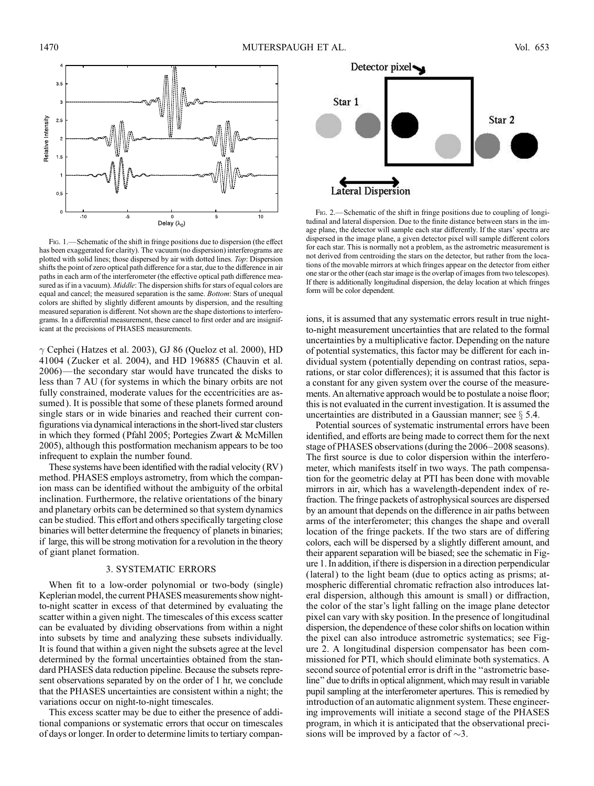

Fig. 1.—Schematic of the shift in fringe positions due to dispersion (the effect has been exaggerated for clarity). The vacuum (no dispersion) interferograms are plotted with solid lines; those dispersed by air with dotted lines. Top: Dispersion shifts the point of zero optical path difference for a star, due to the difference in air paths in each arm of the interferometer (the effective optical path difference measured as if in a vacuum). Middle: The dispersion shifts for stars of equal colors are equal and cancel; the measured separation is the same. Bottom: Stars of unequal colors are shifted by slightly different amounts by dispersion, and the resulting measured separation is different. Not shown are the shape distortions to interferograms. In a differential measurement, these cancel to first order and are insignificant at the precisions of PHASES measurements.

 $\gamma$  Cephei (Hatzes et al. 2003), GJ 86 (Queloz et al. 2000), HD 41004 (Zucker et al. 2004), and HD 196885 (Chauvin et al. 2006)—the secondary star would have truncated the disks to less than 7 AU (for systems in which the binary orbits are not fully constrained, moderate values for the eccentricities are assumed ). It is possible that some of these planets formed around single stars or in wide binaries and reached their current configurations via dynamical interactions in the short-lived star clusters in which they formed (Pfahl 2005; Portegies Zwart & McMillen 2005), although this postformation mechanism appears to be too infrequent to explain the number found.

These systems have been identified with the radial velocity (RV ) method. PHASES employs astrometry, from which the companion mass can be identified without the ambiguity of the orbital inclination. Furthermore, the relative orientations of the binary and planetary orbits can be determined so that system dynamics can be studied. This effort and others specifically targeting close binaries will better determine the frequency of planets in binaries; if large, this will be strong motivation for a revolution in the theory of giant planet formation.

# 3. SYSTEMATIC ERRORS

When fit to a low-order polynomial or two-body (single) Keplerian model, the current PHASES measurements show nightto-night scatter in excess of that determined by evaluating the scatter within a given night. The timescales of this excess scatter can be evaluated by dividing observations from within a night into subsets by time and analyzing these subsets individually. It is found that within a given night the subsets agree at the level determined by the formal uncertainties obtained from the standard PHASES data reduction pipeline. Because the subsets represent observations separated by on the order of 1 hr, we conclude that the PHASES uncertainties are consistent within a night; the variations occur on night-to-night timescales.

This excess scatter may be due to either the presence of additional companions or systematic errors that occur on timescales of days or longer. In order to determine limits to tertiary compan-



Fig. 2.—Schematic of the shift in fringe positions due to coupling of longitudinal and lateral dispersion. Due to the finite distance between stars in the image plane, the detector will sample each star differently. If the stars' spectra are dispersed in the image plane, a given detector pixel will sample different colors for each star. This is normally not a problem, as the astrometric measurement is not derived from centroiding the stars on the detector, but rather from the locations of the movable mirrors at which fringes appear on the detector from either one star or the other (each star image is the overlap of images from two telescopes). If there is additionally longitudinal dispersion, the delay location at which fringes form will be color dependent.

ions, it is assumed that any systematic errors result in true nightto-night measurement uncertainties that are related to the formal uncertainties by a multiplicative factor. Depending on the nature of potential systematics, this factor may be different for each individual system (potentially depending on contrast ratios, separations, or star color differences); it is assumed that this factor is a constant for any given system over the course of the measurements. An alternative approach would be to postulate a noise floor; this is not evaluated in the current investigation. It is assumed the uncertainties are distributed in a Gaussian manner; see  $\S$  5.4.

Potential sources of systematic instrumental errors have been identified, and efforts are being made to correct them for the next stage of PHASES observations (during the 2006–2008 seasons). The first source is due to color dispersion within the interferometer, which manifests itself in two ways. The path compensation for the geometric delay at PTI has been done with movable mirrors in air, which has a wavelength-dependent index of refraction. The fringe packets of astrophysical sources are dispersed by an amount that depends on the difference in air paths between arms of the interferometer; this changes the shape and overall location of the fringe packets. If the two stars are of differing colors, each will be dispersed by a slightly different amount, and their apparent separation will be biased; see the schematic in Figure 1. In addition, if there is dispersion in a direction perpendicular (lateral) to the light beam (due to optics acting as prisms; atmospheric differential chromatic refraction also introduces lateral dispersion, although this amount is small ) or diffraction, the color of the star's light falling on the image plane detector pixel can vary with sky position. In the presence of longitudinal dispersion, the dependence of these color shifts on location within the pixel can also introduce astrometric systematics; see Figure 2. A longitudinal dispersion compensator has been commissioned for PTI, which should eliminate both systematics. A second source of potential error is drift in the ''astrometric baseline'' due to drifts in optical alignment, which may result in variable pupil sampling at the interferometer apertures. This is remedied by introduction of an automatic alignment system. These engineering improvements will initiate a second stage of the PHASES program, in which it is anticipated that the observational precisions will be improved by a factor of  $\sim$ 3.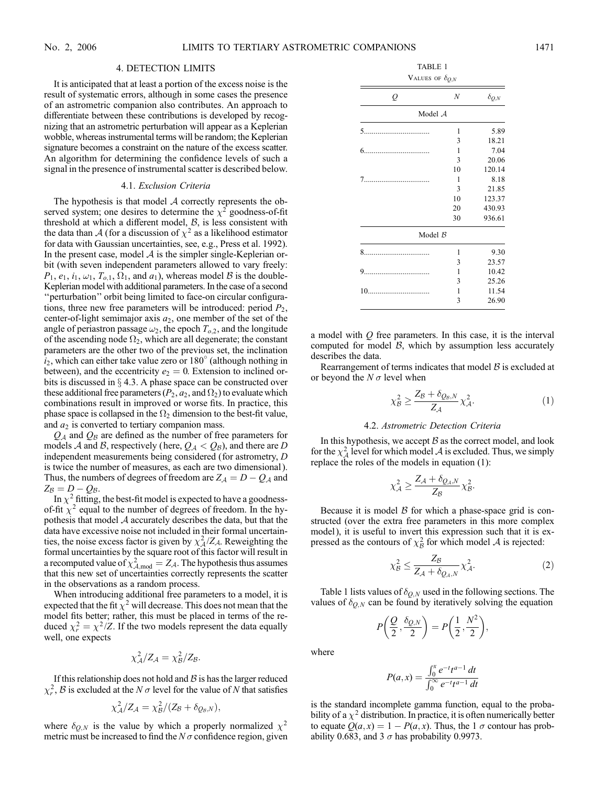## No. 2, 2006 LIMITS TO TERTIARY ASTROMETRIC COMPANIONS 1471

## 4. DETECTION LIMITS

It is anticipated that at least a portion of the excess noise is the result of systematic errors, although in some cases the presence of an astrometric companion also contributes. An approach to differentiate between these contributions is developed by recognizing that an astrometric perturbation will appear as a Keplerian wobble, whereas instrumental terms will be random; the Keplerian signature becomes a constraint on the nature of the excess scatter. An algorithm for determining the confidence levels of such a signal in the presence of instrumental scatter is described below.

## 4.1. Exclusion Criteria

The hypothesis is that model  $A$  correctly represents the observed system; one desires to determine the  $\chi^2$  goodness-of-fit threshold at which a different model,  $B$ , is less consistent with the data than A (for a discussion of  $\chi^2$  as a likelihood estimator for data with Gaussian uncertainties, see, e.g., Press et al. 1992). In the present case, model  $A$  is the simpler single-Keplerian orbit (with seven independent parameters allowed to vary freely:  $P_1$ ,  $e_1$ ,  $i_1$ ,  $\omega_1$ ,  $T_{o,1}$ ,  $\Omega_1$ , and  $a_1$ ), whereas model  $B$  is the double-Keplerian model with additional parameters. In the case of a second ''perturbation'' orbit being limited to face-on circular configurations, three new free parameters will be introduced: period  $P_2$ , center-of-light semimajor axis  $a_2$ , one member of the set of the angle of periastron passage  $\omega_2$ , the epoch  $T_{o,2}$ , and the longitude of the ascending node  $\Omega_2$ , which are all degenerate; the constant parameters are the other two of the previous set, the inclination  $\hat{i}_2$ , which can either take value zero or 180 $^{\circ}$  (although nothing in between), and the eccentricity  $e_2 = 0$ . Extension to inclined orbits is discussed in  $\S$  4.3. A phase space can be constructed over these additional free parameters ( $P_2$ ,  $a_2$ , and  $\Omega_2$ ) to evaluate which combinations result in improved or worse fits. In practice, this phase space is collapsed in the  $\Omega_2$  dimension to the best-fit value, and  $a_2$  is converted to tertiary companion mass.

 $Q_A$  and  $Q_B$  are defined as the number of free parameters for models A and B, respectively (here,  $Q_A < Q_B$ ), and there are D independent measurements being considered (for astrometry, D is twice the number of measures, as each are two dimensional ). Thus, the numbers of degrees of freedom are  $Z_A = D - Q_A$  and  $Z_{\mathcal{B}} = D - Q_{\mathcal{B}}.$ 

In  $\chi^2$  fitting, the best-fit model is expected to have a goodnessof-fit  $\chi^2$  equal to the number of degrees of freedom. In the hypothesis that model  $A$  accurately describes the data, but that the data have excessive noise not included in their formal uncertainties, the noise excess factor is given by  $\chi^2_A/Z_A$ . Reweighting the formal uncertainties by the square root of this factor will result in a recomputed value of  $\chi^2_{A,\text{mod}} = Z_A$ . The hypothesis thus assumes that this new set of uncertainties correctly represents the scatter in the observations as a random process.

When introducing additional free parameters to a model, it is expected that the fit  $\chi^2$  will decrease. This does not mean that the model fits better; rather, this must be placed in terms of the reduced  $\chi_r^2 = \chi^2/Z$ . If the two models represent the data equally well, one expects

$$
\chi^2_{\mathcal{A}}/Z_{\mathcal{A}} = \chi^2_{\mathcal{B}}/Z_{\mathcal{B}}.
$$

If this relationship does not hold and  $\beta$  is has the larger reduced  $\chi_r^2$ , B is excluded at the N  $\sigma$  level for the value of N that satisfies

$$
\chi^2_{\mathcal{A}}/Z_{\mathcal{A}} = \chi^2_{\mathcal{B}}/(Z_{\mathcal{B}} + \delta_{Q_{\mathcal{B}},N}),
$$

 $\mathcal{P}$ 

where  $\delta_{Q,N}$  is the value by which a properly normalized  $\chi^2$ metric must be increased to find the  $N\sigma$  confidence region, given

| TABLE 1<br>VALUES OF $\delta_{Q,N}$ |    |        |
|-------------------------------------|----|--------|
|                                     |    |        |
| Model A                             |    |        |
| 5                                   | 1  | 5.89   |
|                                     | 3  | 18.21  |
|                                     | 1  | 7.04   |
|                                     | 3  | 20.06  |
|                                     | 10 | 120.14 |
|                                     | 1  | 8.18   |
|                                     | 3  | 21.85  |
|                                     | 10 | 123.37 |
|                                     | 20 | 430.93 |
|                                     | 30 | 936.61 |
| Model B                             |    |        |
|                                     | 1  | 9.30   |
|                                     | 3  | 23.57  |
|                                     | 1  | 10.42  |
|                                     | 3  | 25.26  |
|                                     | 1  | 11.54  |
|                                     | 3  | 26.90  |

a model with  $Q$  free parameters. In this case, it is the interval computed for model  $B$ , which by assumption less accurately describes the data.

Rearrangement of terms indicates that model  $\beta$  is excluded at or beyond the  $N \sigma$  level when

$$
\chi_B^2 \ge \frac{Z_B + \delta_{Q_B, N}}{Z_A} \chi_A^2. \tag{1}
$$

### 4.2. Astrometric Detection Criteria

In this hypothesis, we accept  $\beta$  as the correct model, and look for the  $\chi^2_A$  level for which model A is excluded. Thus, we simply replace the roles of the models in equation (1):

$$
\chi_{\mathcal{A}}^2 \ge \frac{Z_{\mathcal{A}} + \delta_{Q_{\mathcal{A}},N}}{Z_{\mathcal{B}}} \chi_{\mathcal{B}}^2.
$$

Because it is model  $\beta$  for which a phase-space grid is constructed (over the extra free parameters in this more complex model), it is useful to invert this expression such that it is expressed as the contours of  $\chi^2_B$  for which model A is rejected:

$$
\chi_B^2 \le \frac{Z_B}{Z_A + \delta_{Q_A,N}} \chi_A^2. \tag{2}
$$

Table 1 lists values of  $\delta_{Q,N}$  used in the following sections. The values of  $\delta_{Q,N}$  can be found by iteratively solving the equation

$$
P\left(\frac{Q}{2},\frac{\delta_{Q,N}}{2}\right) = P\left(\frac{1}{2},\frac{N^2}{2}\right),\,
$$

where

$$
P(a,x) = \frac{\int_0^x e^{-t} t^{a-1} dt}{\int_0^\infty e^{-t} t^{a-1} dt}
$$

is the standard incomplete gamma function, equal to the probability of a  $\chi^2$  distribution. In practice, it is often numerically better to equate  $Q(a, x) = 1 - P(a, x)$ . Thus, the 1  $\sigma$  contour has probability 0.683, and 3  $\sigma$  has probability 0.9973.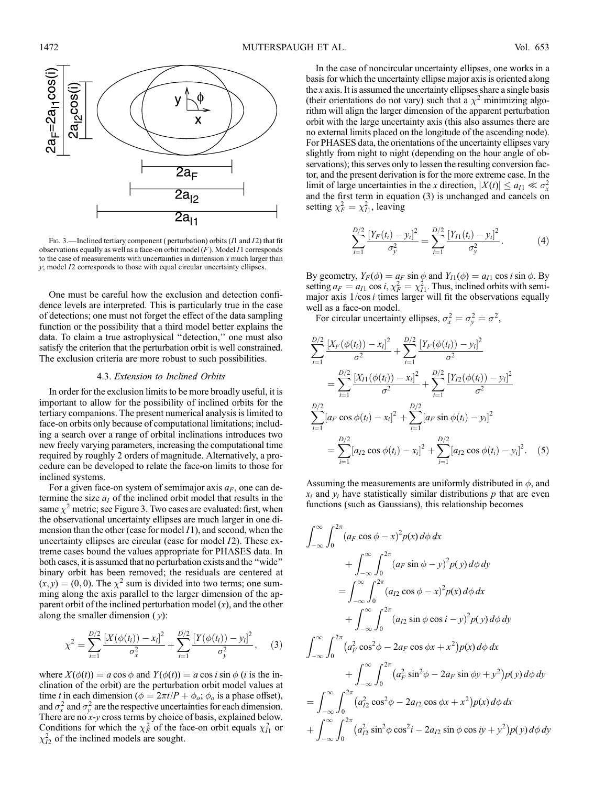

Fig. 3.—Inclined tertiary component ( perturbation) orbits ( $I1$  and  $I2$ ) that fit observations equally as well as a face-on orbit model  $(F)$ . Model  $I1$  corresponds to the case of measurements with uncertainties in dimension  $x$  much larger than y; model I2 corresponds to those with equal circular uncertainty ellipses.

One must be careful how the exclusion and detection confidence levels are interpreted. This is particularly true in the case of detections; one must not forget the effect of the data sampling function or the possibility that a third model better explains the data. To claim a true astrophysical ''detection,'' one must also satisfy the criterion that the perturbation orbit is well constrained. The exclusion criteria are more robust to such possibilities.

## 4.3. Extension to Inclined Orbits

In order for the exclusion limits to be more broadly useful, it is important to allow for the possibility of inclined orbits for the tertiary companions. The present numerical analysis is limited to face-on orbits only because of computational limitations; including a search over a range of orbital inclinations introduces two new freely varying parameters, increasing the computational time required by roughly 2 orders of magnitude. Alternatively, a procedure can be developed to relate the face-on limits to those for inclined systems.

For a given face-on system of semimajor axis  $a_F$ , one can determine the size  $a_I$  of the inclined orbit model that results in the same  $\chi^2$  metric; see Figure 3. Two cases are evaluated: first, when the observational uncertainty ellipses are much larger in one dimension than the other (case for model  $I_1$ ), and second, when the uncertainty ellipses are circular (case for model I2). These extreme cases bound the values appropriate for PHASES data. In both cases, it is assumed that no perturbation exists and the ''wide'' binary orbit has been removed; the residuals are centered at  $(x, y) = (0, 0)$ . The  $\chi^2$  sum is divided into two terms; one summing along the axis parallel to the larger dimension of the apparent orbit of the inclined perturbation model  $(x)$ , and the other along the smaller dimension  $(y)$ :

$$
\chi^{2} = \sum_{i=1}^{D/2} \frac{[X(\phi(t_{i})) - x_{i}]^{2}}{\sigma_{x}^{2}} + \sum_{i=1}^{D/2} \frac{[Y(\phi(t_{i})) - y_{i}]^{2}}{\sigma_{y}^{2}},
$$
 (3)

where  $X(\phi(t)) = a \cos \phi$  and  $Y(\phi(t)) = a \cos i \sin \phi$  (*i* is the inclination of the orbit) are the perturbation orbit model values at time t in each dimension ( $\phi = 2\pi t/P + \phi_o$ ;  $\phi_o$  is a phase offset), and  $\sigma_x^2$  and  $\sigma_y^2$  are the respective uncertainties for each dimension. There are no  $x - y$  cross terms by choice of basis, explained below. Conditions for which the  $\chi^2_F$  of the face-on orbit equals  $\chi^2_{II}$  or  $\chi_{I2}^2$  of the inclined models are sought.

In the case of noncircular uncertainty ellipses, one works in a basis for which the uncertainty ellipse major axis is oriented along the  $x$  axis. It is assumed the uncertainty ellipses share a single basis (their orientations do not vary) such that a  $\chi^2$  minimizing algorithm will align the larger dimension of the apparent perturbation orbit with the large uncertainty axis (this also assumes there are no external limits placed on the longitude of the ascending node). For PHASES data, the orientations of the uncertainty ellipses vary slightly from night to night (depending on the hour angle of observations); this serves only to lessen the resulting conversion factor, and the present derivation is for the more extreme case. In the limit of large uncertainties in the x direction,  $|X(t)| \le a_{I1} \ll \sigma_x^2$ and the first term in equation (3) is unchanged and cancels on setting  $\chi_F^2 = \chi_{I1}^2$ , leaving

$$
\sum_{i=1}^{D/2} \frac{\left[Y_F(t_i) - y_i\right]^2}{\sigma_y^2} = \sum_{i=1}^{D/2} \frac{\left[Y_{I1}(t_i) - y_i\right]^2}{\sigma_y^2}.
$$
 (4)

By geometry,  $Y_F(\phi) = a_F \sin \phi$  and  $Y_{I}( \phi ) = a_{I} \cos i \sin \phi$ . By setting  $a_F = a_{I1} \cos i$ ,  $\chi_F^2 = \chi_{I1}^2$ . Thus, inclined orbits with semimajor axis  $1/cos i$  times larger will fit the observations equally well as a face-on model.

For circular uncertainty ellipses,  $\sigma_x^2 = \sigma_y^2 = \sigma^2$ ,

$$
\sum_{i=1}^{D/2} \frac{\left[X_F(\phi(t_i)) - x_i\right]^2}{\sigma^2} + \sum_{i=1}^{D/2} \frac{\left[Y_F(\phi(t_i)) - y_i\right]^2}{\sigma^2}
$$
\n
$$
= \sum_{i=1}^{D/2} \frac{\left[X_{I1}(\phi(t_i)) - x_i\right]^2}{\sigma^2} + \sum_{i=1}^{D/2} \frac{\left[Y_{I2}(\phi(t_i)) - y_i\right]^2}{\sigma^2}
$$
\n
$$
\sum_{i=1}^{D/2} \left[a_F \cos \phi(t_i) - x_i\right]^2 + \sum_{i=1}^{D/2} \left[a_F \sin \phi(t_i) - y_i\right]^2
$$
\n
$$
= \sum_{i=1}^{D/2} \left[a_{I2} \cos \phi(t_i) - x_i\right]^2 + \sum_{i=1}^{D/2} \left[a_{I2} \cos \phi(t_i) - y_i\right]^2. \quad (5)
$$

Assuming the measurements are uniformly distributed in  $\phi$ , and  $x_i$  and  $y_i$  have statistically similar distributions p that are even functions (such as Gaussians), this relationship becomes

$$
\int_{-\infty}^{\infty} \int_{0}^{2\pi} (a_F \cos \phi - x)^2 p(x) d\phi dx \n+ \int_{-\infty}^{\infty} \int_{0}^{2\pi} (a_F \sin \phi - y)^2 p(y) d\phi dy \n= \int_{-\infty}^{\infty} \int_{0}^{2\pi} (a_{I2} \cos \phi - x)^2 p(x) d\phi dx \n+ \int_{-\infty}^{\infty} \int_{0}^{2\pi} (a_{I2} \sin \phi \cos i - y)^2 p(y) d\phi dy \n+ \int_{-\infty}^{\infty} \int_{0}^{2\pi} (a_F^2 \cos^2 \phi - 2a_F \cos \phi x + x^2) p(x) d\phi dx \n+ \int_{-\infty}^{\infty} \int_{0}^{2\pi} (a_F^2 \sin^2 \phi - 2a_F \sin \phi y + y^2) p(y) d\phi dy \n= \int_{-\infty}^{\infty} \int_{0}^{2\pi} (a_{I2}^2 \cos^2 \phi - 2a_{I2} \cos \phi x + x^2) p(x) d\phi dx \n+ \int_{-\infty}^{\infty} \int_{0}^{2\pi} (a_{I2}^2 \sin^2 \phi \cos^2 i - 2a_{I2} \sin \phi \cos iy + y^2) p(y) d\phi dy
$$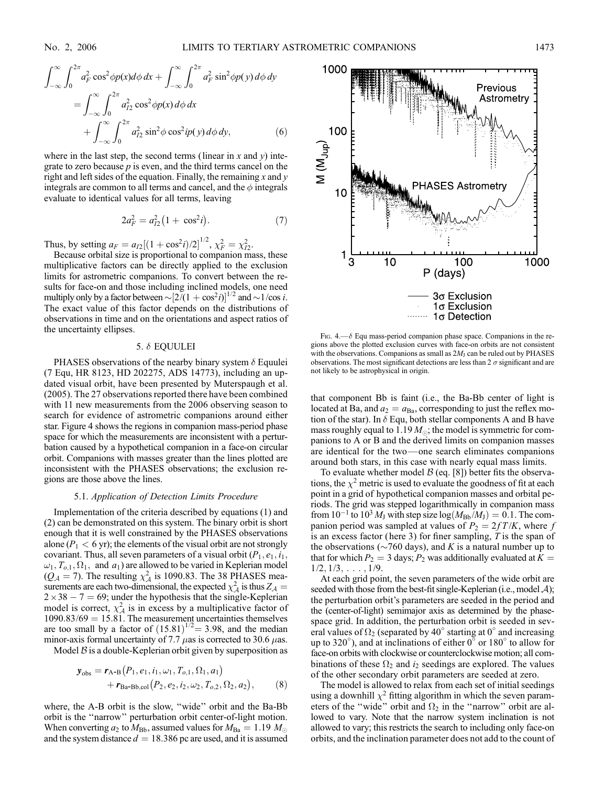$$
\int_{-\infty}^{\infty} \int_{0}^{2\pi} a_F^2 \cos^2 \phi p(x) d\phi \, dx + \int_{-\infty}^{\infty} \int_{0}^{2\pi} a_F^2 \sin^2 \phi p(y) \, d\phi \, dy
$$

$$
= \int_{-\infty}^{\infty} \int_{0}^{2\pi} a_{I2}^2 \cos^2 \phi p(x) \, d\phi \, dx + \int_{-\infty}^{\infty} \int_{0}^{2\pi} a_{I2}^2 \sin^2 \phi \cos^2 ip(y) \, d\phi \, dy, \tag{6}
$$

where in the last step, the second terms (linear in  $x$  and  $y$ ) integrate to zero because  $p$  is even, and the third terms cancel on the right and left sides of the equation. Finally, the remaining x and y integrals are common to all terms and cancel, and the  $\phi$  integrals evaluate to identical values for all terms, leaving

$$
2a_F^2 = a_{12}^2 (1 + \cos^2 i). \tag{7}
$$

Thus, by setting  $a_F = a_{I2}[(1 + \cos^2 i)/2]^{1/2}$ ,  $\chi_F^2 = \chi_{I2}^2$ .

Because orbital size is proportional to companion mass, these multiplicative factors can be directly applied to the exclusion limits for astrometric companions. To convert between the results for face-on and those including inclined models, one need multiply only by a factor between  $\sim [2/(1 + \cos^2 i)]^{1/2}$  and  $\sim 1/\cos i$ . The exact value of this factor depends on the distributions of observations in time and on the orientations and aspect ratios of the uncertainty ellipses.

# 5.  $\delta$  EQUULEI

PHASES observations of the nearby binary system  $\delta$  Equulei (7 Equ, HR 8123, HD 202275, ADS 14773), including an updated visual orbit, have been presented by Muterspaugh et al. (2005). The 27 observations reported there have been combined with 11 new measurements from the 2006 observing season to search for evidence of astrometric companions around either star. Figure 4 shows the regions in companion mass-period phase space for which the measurements are inconsistent with a perturbation caused by a hypothetical companion in a face-on circular orbit. Companions with masses greater than the lines plotted are inconsistent with the PHASES observations; the exclusion regions are those above the lines.

### 5.1. Application of Detection Limits Procedure

Implementation of the criteria described by equations (1) and (2) can be demonstrated on this system. The binary orbit is short enough that it is well constrained by the PHASES observations alone ( $P_1 < 6$  yr); the elements of the visual orbit are not strongly covariant. Thus, all seven parameters of a visual orbit  $(P_1, e_1, i_1)$ ,  $\omega_1, T_{o,1}, \Omega_1$ , and  $a_1$ ) are allowed to be varied in Keplerian model  $(Q_A = 7)$ . The resulting  $\chi_A^2$  is 1090.83. The 38 PHASES measurements are each two-dimensional, the expected  $\chi^2_{\mathcal{A}}$  is thus  $Z_{\mathcal{A}} =$  $2 \times 38 - 7 = 69$ ; under the hypothesis that the single-Keplerian model is correct,  $\chi^2_A$  is in excess by a multiplicative factor of  $1090.83/69 = 15.81$ . The measurement uncertainties themselves are too small by a factor of  $(15.81)$ <sup>1/2</sup> = 3.98, and the median minor-axis formal uncertainty of 7.7  $\mu$ as is corrected to 30.6  $\mu$ as. Model  $\beta$  is a double-Keplerian orbit given by superposition as

$$
\mathbf{y}_{obs} = \mathbf{r}_{A-B} (P_1, e_1, i_1, \omega_1, T_{o,1}, \Omega_1, a_1) + \mathbf{r}_{Ba-Bb, col} (P_2, e_2, i_2, \omega_2, T_{o,2}, \Omega_2, a_2),
$$
 (8)

where, the A-B orbit is the slow, ''wide'' orbit and the Ba-Bb orbit is the ''narrow'' perturbation orbit center-of-light motion. When converting  $a_2$  to  $M_{\text{Bb}}$ , assumed values for  $M_{\text{Ba}} = 1.19 M_{\odot}$ and the system distance  $d = 18.386$  pc are used, and it is assumed



Fig. 4.— $\delta$  Equ mass-period companion phase space. Companions in the regions above the plotted exclusion curves with face-on orbits are not consistent with the observations. Companions as small as  $2M_J$  can be ruled out by PHASES observations. The most significant detections are less than  $2 \sigma$  significant and are not likely to be astrophysical in origin.

that component Bb is faint (i.e., the Ba-Bb center of light is located at Ba, and  $a_2 = a_{Ba}$ , corresponding to just the reflex motion of the star). In  $\delta$  Equ, both stellar components A and B have mass roughly equal to 1.19  $M_{\odot}$ ; the model is symmetric for companions to A or B and the derived limits on companion masses are identical for the two—one search eliminates companions around both stars, in this case with nearly equal mass limits.

To evaluate whether model  $\beta$  (eq. [8]) better fits the observations, the  $\chi^2$  metric is used to evaluate the goodness of fit at each point in a grid of hypothetical companion masses and orbital periods. The grid was stepped logarithmically in companion mass from  $10^{-1}$  to  $10^3 M_J$  with step size  $log(M_{\rm Bb}/M_J) = 0.1$ . The companion period was sampled at values of  $P_2 = 2f T / K$ , where f is an excess factor (here 3) for finer sampling,  $T$  is the span of the observations ( $\sim$ 760 days), and K is a natural number up to that for which  $P_2 = 3$  days;  $P_2$  was additionally evaluated at  $K =$  $1/2, 1/3, \ldots, 1/9.$ 

At each grid point, the seven parameters of the wide orbit are seeded with those from the best-fit single-Keplerian (i.e., model  $A$ ); the perturbation orbit's parameters are seeded in the period and the (center-of-light) semimajor axis as determined by the phasespace grid. In addition, the perturbation orbit is seeded in several values of  $\Omega_2$  (separated by 40° starting at 0° and increasing up to 320°), and at inclinations of either  $0^{\degree}$  or 180° to allow for face-on orbits with clockwise or counterclockwise motion; all combinations of these  $\Omega_2$  and  $i_2$  seedings are explored. The values of the other secondary orbit parameters are seeded at zero.

The model is allowed to relax from each set of initial seedings using a downhill  $\chi^2$  fitting algorithm in which the seven parameters of the "wide" orbit and  $\Omega_2$  in the "narrow" orbit are allowed to vary. Note that the narrow system inclination is not allowed to vary; this restricts the search to including only face-on orbits, and the inclination parameter does not add to the count of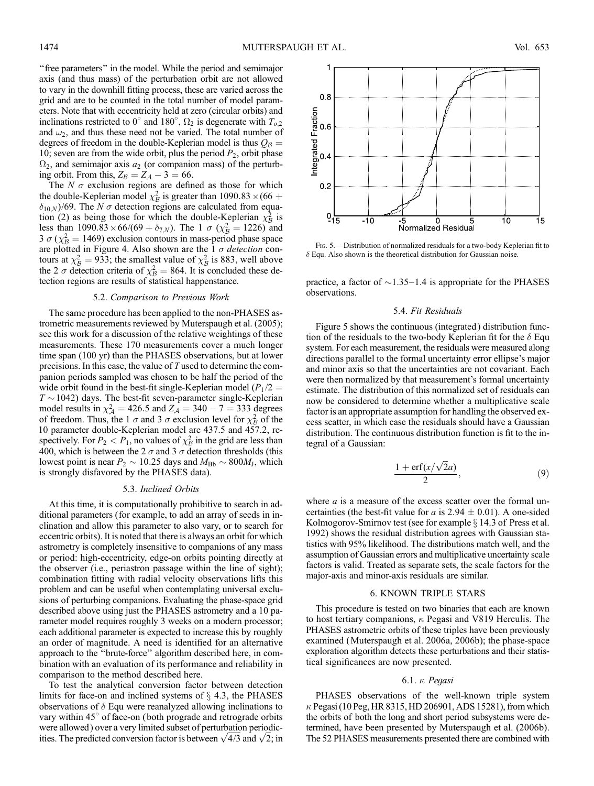''free parameters'' in the model. While the period and semimajor axis (and thus mass) of the perturbation orbit are not allowed to vary in the downhill fitting process, these are varied across the grid and are to be counted in the total number of model parameters. Note that with eccentricity held at zero (circular orbits) and inclinations restricted to 0° and 180°,  $\Omega_2$  is degenerate with  $T_{o,2}$ and  $\omega_2$ , and thus these need not be varied. The total number of degrees of freedom in the double-Keplerian model is thus  $Q_B =$ 10; seven are from the wide orbit, plus the period  $P_2$ , orbit phase  $\Omega_2$ , and semimajor axis  $a_2$  (or companion mass) of the perturbing orbit. From this,  $Z_B = Z_A - 3 = 66$ .

The  $N \sigma$  exclusion regions are defined as those for which the double-Keplerian model  $\chi^2_B$  is greater than 1090.83  $\times$  (66 +  $\delta_{10,N}$ )/69. The N  $\sigma$  detection regions are calculated from equation (2) as being those for which the double-Keplerian  $\chi^2_B$  is less than  $1090.83 \times 66/(69 + 6_{7,N})$ . The 1  $\sigma$  ( $\chi^2 = 1226$ ) and  $3 \sigma (\chi^2_B = 1469)$  exclusion contours in mass-period phase space are plotted in Figure 4. Also shown are the  $1 \sigma$  detection contours at  $\chi^2 = 933$ ; the smallest value of  $\chi^2 = 883$ , well above the 2  $\sigma$  detection criteria of  $\chi^2 = 864$ . It is concluded these detection regions are results of statistical happenstance.

#### 5.2. Comparison to Previous Work

The same procedure has been applied to the non-PHASES astrometric measurements reviewed by Muterspaugh et al. (2005); see this work for a discussion of the relative weightings of these measurements. These 170 measurements cover a much longer time span (100 yr) than the PHASES observations, but at lower precisions. In this case, the value of  $T$  used to determine the companion periods sampled was chosen to be half the period of the wide orbit found in the best-fit single-Keplerian model ( $P_1 / 2 =$  $T \sim 1042$ ) days. The best-fit seven-parameter single-Keplerian model results in  $\chi^2$  = 426.5 and  $Z_A$  = 340 – 7 = 333 degrees of freedom. Thus, the 1  $\sigma$  and 3  $\sigma$  exclusion level for  $\chi^2_B$  of the 10 parameter double-Keplerian model are 437.5 and 457.2, respectively. For  $P_2 < P_1$ , no values of  $\chi^2_B$  in the grid are less than 400, which is between the 2  $\sigma$  and 3  $\sigma$  detection thresholds (this lowest point is near  $P_2 \sim 10.25$  days and  $M_{\text{Bb}} \sim 800 M_{\text{J}}$ , which is strongly disfavored by the PHASES data).

## 5.3. Inclined Orbits

At this time, it is computationally prohibitive to search in additional parameters (for example, to add an array of seeds in inclination and allow this parameter to also vary, or to search for eccentric orbits). It is noted that there is always an orbit for which astrometry is completely insensitive to companions of any mass or period: high-eccentricity, edge-on orbits pointing directly at the observer (i.e., periastron passage within the line of sight); combination fitting with radial velocity observations lifts this problem and can be useful when contemplating universal exclusions of perturbing companions. Evaluating the phase-space grid described above using just the PHASES astrometry and a 10 parameter model requires roughly 3 weeks on a modern processor; each additional parameter is expected to increase this by roughly an order of magnitude. A need is identified for an alternative approach to the ''brute-force'' algorithm described here, in combination with an evaluation of its performance and reliability in comparison to the method described here.

To test the analytical conversion factor between detection limits for face-on and inclined systems of  $\S$  4.3, the PHASES observations of  $\delta$  Equ were reanalyzed allowing inclinations to vary within 45° of face-on (both prograde and retrograde orbits were allowed) over a very limited subset of perturbation periodicwere allowed) over a very limited subset of perturbation periodic-<br>ities. The predicted conversion factor is between  $\sqrt{4/3}$  and  $\sqrt{2}$ ; in



Fig. 5.—Distribution of normalized residuals for a two-body Keplerian fit to  $\delta$  Equ. Also shown is the theoretical distribution for Gaussian noise.

practice, a factor of  $\sim$ 1.35–1.4 is appropriate for the PHASES observations.

## 5.4. Fit Residuals

Figure 5 shows the continuous (integrated) distribution function of the residuals to the two-body Keplerian fit for the  $\delta$  Equ system. For each measurement, the residuals were measured along directions parallel to the formal uncertainty error ellipse's major and minor axis so that the uncertainties are not covariant. Each were then normalized by that measurement's formal uncertainty estimate. The distribution of this normalized set of residuals can now be considered to determine whether a multiplicative scale factor is an appropriate assumption for handling the observed excess scatter, in which case the residuals should have a Gaussian distribution. The continuous distribution function is fit to the integral of a Gaussian:

$$
\frac{1 + \text{erf}(x/\sqrt{2}a)}{2},\tag{9}
$$

where  $a$  is a measure of the excess scatter over the formal uncertainties (the best-fit value for a is  $2.94 \pm 0.01$ ). A one-sided Kolmogorov-Smirnov test (see for example  $\S$  14.3 of Press et al. 1992) shows the residual distribution agrees with Gaussian statistics with 95% likelihood. The distributions match well, and the assumption of Gaussian errors and multiplicative uncertainty scale factors is valid. Treated as separate sets, the scale factors for the major-axis and minor-axis residuals are similar.

## 6. KNOWN TRIPLE STARS

This procedure is tested on two binaries that each are known to host tertiary companions,  $\kappa$  Pegasi and V819 Herculis. The PHASES astrometric orbits of these triples have been previously examined (Muterspaugh et al. 2006a, 2006b); the phase-space exploration algorithm detects these perturbations and their statistical significances are now presented.

### 6.1.  $\kappa$  Pegasi

PHASES observations of the well-known triple system  $\kappa$  Pegasi (10 Peg, HR 8315, HD 206901, ADS 15281), from which the orbits of both the long and short period subsystems were determined, have been presented by Muterspaugh et al. (2006b). The 52 PHASES measurements presented there are combined with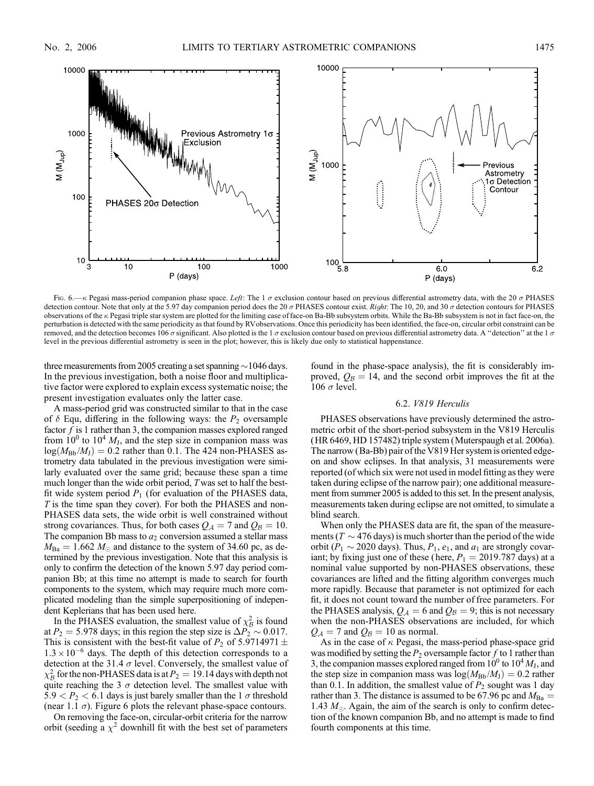

Fig. 6.— $\kappa$  Pegasi mass-period companion phase space. Left: The 1  $\sigma$  exclusion contour based on previous differential astrometry data, with the 20  $\sigma$  PHASES detection contour. Note that only at the 5.97 day companion period does the 20  $\sigma$  PHASES contour exist. Right: The 10, 20, and 30  $\sigma$  detection contours for PHASES observations of the  $\kappa$  Pegasi triple star system are plotted for the limiting case of face-on Ba-Bb subsystem orbits. While the Ba-Bb subsystem is not in fact face-on, the perturbation is detected with the same periodicity as that found by RVobservations. Once this periodicity has been identified, the face-on, circular orbit constraint can be removed, and the detection becomes 106  $\sigma$  significant. Also plotted is the 1  $\sigma$  exclusion contour based on previous differential astrometry data. A "detection" at the 1  $\sigma$ level in the previous differential astrometry is seen in the plot; however, this is likely due only to statistical happenstance.

three measurements from 2005 creating a set spanning  $\sim$  1046 days. In the previous investigation, both a noise floor and multiplicative factor were explored to explain excess systematic noise; the present investigation evaluates only the latter case.

A mass-period grid was constructed similar to that in the case of  $\delta$  Equ, differing in the following ways: the  $P_2$  oversample factor  $f$  is 1 rather than 3, the companion masses explored ranged from  $10^0$  to  $10^4$   $M_J$ , and the step size in companion mass was  $log(M_{\text{Bb}}/M_{\text{J}}) = 0.2$  rather than 0.1. The 424 non-PHASES astrometry data tabulated in the previous investigation were similarly evaluated over the same grid; because these span a time much longer than the wide orbit period, T was set to half the bestfit wide system period  $P_1$  (for evaluation of the PHASES data,  $T$  is the time span they cover). For both the PHASES and non-PHASES data sets, the wide orbit is well constrained without strong covariances. Thus, for both cases  $Q_A = 7$  and  $Q_B = 10$ . The companion Bb mass to  $a_2$  conversion assumed a stellar mass  $M_{\text{Ba}} = 1.662 M_{\odot}$  and distance to the system of 34.60 pc, as determined by the previous investigation. Note that this analysis is only to confirm the detection of the known 5.97 day period companion Bb; at this time no attempt is made to search for fourth components to the system, which may require much more complicated modeling than the simple superpositioning of independent Keplerians that has been used here.

In the PHASES evaluation, the smallest value of  $\chi^2_B$  is found at  $P_2 = 5.978$  days; in this region the step size is  $\Delta P_2 \sim 0.017$ . This is consistent with the best-fit value of  $P_2$  of 5.9714971  $\pm$  $1.3 \times 10^{-6}$  days. The depth of this detection corresponds to a detection at the 31.4  $\sigma$  level. Conversely, the smallest value of  $\chi^2_B$  for the non-PHASES data is at  $P_2 = 19.14$  days with depth not quite reaching the 3  $\sigma$  detection level. The smallest value with  $5.9 < P_2 < 6.1$  days is just barely smaller than the 1  $\sigma$  threshold (near 1.1  $\sigma$ ). Figure 6 plots the relevant phase-space contours.

On removing the face-on, circular-orbit criteria for the narrow orbit (seeding a  $\chi^2$  downhill fit with the best set of parameters found in the phase-space analysis), the fit is considerably improved,  $Q_B = 14$ , and the second orbit improves the fit at the 106  $\sigma$  level.

## 6.2. V819 Herculis

PHASES observations have previously determined the astrometric orbit of the short-period subsystem in the V819 Herculis (HR 6469, HD 157482) triple system (Muterspaugh et al. 2006a). The narrow (Ba-Bb) pair of the V819 Her system is oriented edgeon and show eclipses. In that analysis, 31 measurements were reported (of which six were not used in model fitting as they were taken during eclipse of the narrow pair); one additional measurement from summer 2005 is added to this set. In the present analysis, measurements taken during eclipse are not omitted, to simulate a blind search.

When only the PHASES data are fit, the span of the measurements ( $T \sim 476$  days) is much shorter than the period of the wide orbit ( $P_1 \sim 2020$  days). Thus,  $P_1$ ,  $e_1$ , and  $a_1$  are strongly covariant; by fixing just one of these (here,  $P_1 = 2019.787$  days) at a nominal value supported by non-PHASES observations, these covariances are lifted and the fitting algorithm converges much more rapidly. Because that parameter is not optimized for each fit, it does not count toward the number of free parameters. For the PHASES analysis,  $Q_A = 6$  and  $Q_B = 9$ ; this is not necessary when the non-PHASES observations are included, for which  $Q_A = 7$  and  $Q_B = 10$  as normal.

As in the case of  $\kappa$  Pegasi, the mass-period phase-space grid was modified by setting the  $P_2$  oversample factor f to 1 rather than 3, the companion masses explored ranged from  $10^0$  to  $10^4$   $M<sub>J</sub>$ , and the step size in companion mass was  $log(M_{Bb}/M_J) = 0.2$  rather than 0.1. In addition, the smallest value of  $P_2$  sought was 1 day rather than 3. The distance is assumed to be 67.96 pc and  $M_{Ba} =$ 1.43  $M_{\odot}$ . Again, the aim of the search is only to confirm detection of the known companion Bb, and no attempt is made to find fourth components at this time.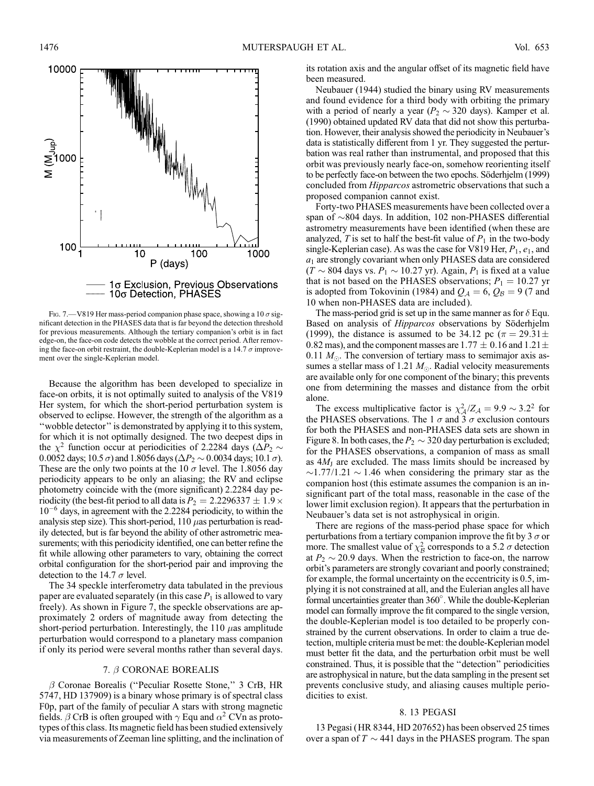

Fig. 7.—V819 Her mass-period companion phase space, showing a 10  $\sigma$  significant detection in the PHASES data that is far beyond the detection threshold for previous measurements. Although the tertiary companion's orbit is in fact edge-on, the face-on code detects the wobble at the correct period. After removing the face-on orbit restraint, the double-Keplerian model is a 14.7  $\sigma$  improvement over the single-Keplerian model.

Because the algorithm has been developed to specialize in face-on orbits, it is not optimally suited to analysis of the V819 Her system, for which the short-period perturbation system is observed to eclipse. However, the strength of the algorithm as a ''wobble detector'' is demonstrated by applying it to this system, for which it is not optimally designed. The two deepest dips in the  $\chi^2$  function occur at periodicities of 2.2284 days ( $\Delta P_2 \sim$ 0.0052 days; 10.5  $\sigma$ ) and 1.8056 days ( $\Delta P_2 \sim 0.0034$  days; 10.1  $\sigma$ ). These are the only two points at the 10  $\sigma$  level. The 1.8056 day periodicity appears to be only an aliasing; the RV and eclipse photometry coincide with the (more significant) 2.2284 day periodicity (the best-fit period to all data is  $P_2 = 2.2296337 \pm 1.9 \times$  $10^{-6}$  days, in agreement with the 2.2284 periodicity, to within the analysis step size). This short-period,  $110 \mu$ as perturbation is readily detected, but is far beyond the ability of other astrometric measurements; with this periodicity identified, one can better refine the fit while allowing other parameters to vary, obtaining the correct orbital configuration for the short-period pair and improving the detection to the 14.7  $\sigma$  level.

The 34 speckle interferometry data tabulated in the previous paper are evaluated separately (in this case  $P_1$  is allowed to vary freely). As shown in Figure 7, the speckle observations are approximately 2 orders of magnitude away from detecting the short-period perturbation. Interestingly, the  $110 \mu$ as amplitude perturbation would correspond to a planetary mass companion if only its period were several months rather than several days.

## 7.  $\beta$  CORONAE BOREALIS

 $\beta$  Coronae Borealis ("Peculiar Rosette Stone," 3 CrB, HR 5747, HD 137909) is a binary whose primary is of spectral class F0p, part of the family of peculiar A stars with strong magnetic fields.  $\beta$  CrB is often grouped with  $\gamma$  Equ and  $\alpha^2$  CVn as prototypes of this class. Its magnetic field has been studied extensively via measurements of Zeeman line splitting, and the inclination of its rotation axis and the angular offset of its magnetic field have been measured.

Neubauer (1944) studied the binary using RV measurements and found evidence for a third body with orbiting the primary with a period of nearly a year ( $P_2 \sim 320$  days). Kamper et al. (1990) obtained updated RV data that did not show this perturbation. However, their analysis showed the periodicity in Neubauer's data is statistically different from 1 yr. They suggested the perturbation was real rather than instrumental, and proposed that this orbit was previously nearly face-on, somehow reorienting itself to be perfectly face-on between the two epochs. Söderhjelm (1999) concluded from Hipparcos astrometric observations that such a proposed companion cannot exist.

Forty-two PHASES measurements have been collected over a span of  $\sim$ 804 days. In addition, 102 non-PHASES differential astrometry measurements have been identified (when these are analyzed, T is set to half the best-fit value of  $P_1$  in the two-body single-Keplerian case). As was the case for V819 Her,  $P_1$ ,  $e_1$ , and  $a_1$  are strongly covariant when only PHASES data are considered  $(T \sim 804$  days vs.  $P_1 \sim 10.27$  yr). Again,  $P_1$  is fixed at a value that is not based on the PHASES observations;  $P_1 = 10.27$  yr is adopted from Tokovinin (1984) and  $Q_A = 6$ ,  $Q_B = 9$  (7 and 10 when non-PHASES data are included ).

The mass-period grid is set up in the same manner as for  $\delta$  Equ. Based on analysis of *Hipparcos* observations by Söderhjelm (1999), the distance is assumed to be 34.12 pc ( $\pi = 29.31 \pm$ 0.82 mas), and the component masses are  $1.77 \pm 0.16$  and  $1.21 \pm$ 0.11  $M_{\odot}$ . The conversion of tertiary mass to semimajor axis assumes a stellar mass of 1.21  $M_{\odot}$ . Radial velocity measurements are available only for one component of the binary; this prevents one from determining the masses and distance from the orbit alone.

The excess multiplicative factor is  $\chi^2_A/Z_A = 9.9 \sim 3.2^2$  for the PHASES observations. The 1  $\sigma$  and 3  $\sigma$  exclusion contours for both the PHASES and non-PHASES data sets are shown in Figure 8. In both cases, the  $P_2 \sim 320$  day perturbation is excluded; for the PHASES observations, a companion of mass as small as  $4M<sub>J</sub>$  are excluded. The mass limits should be increased by  $\sim$ 1.77/1.21  $\sim$  1.46 when considering the primary star as the companion host (this estimate assumes the companion is an insignificant part of the total mass, reasonable in the case of the lower limit exclusion region). It appears that the perturbation in Neubauer's data set is not astrophysical in origin.

There are regions of the mass-period phase space for which perturbations from a tertiary companion improve the fit by 3  $\sigma$  or more. The smallest value of  $\chi^2_B$  corresponds to a 5.2  $\sigma$  detection at  $P_2 \sim 20.9$  days. When the restriction to face-on, the narrow orbit's parameters are strongly covariant and poorly constrained; for example, the formal uncertainty on the eccentricity is 0.5, implying it is not constrained at all, and the Eulerian angles all have formal uncertainties greater than 360°. While the double-Keplerian model can formally improve the fit compared to the single version, the double-Keplerian model is too detailed to be properly constrained by the current observations. In order to claim a true detection, multiple criteria must be met: the double-Keplerian model must better fit the data, and the perturbation orbit must be well constrained. Thus, it is possible that the ''detection'' periodicities are astrophysical in nature, but the data sampling in the present set prevents conclusive study, and aliasing causes multiple periodicities to exist.

# 8. 13 PEGASI

13 Pegasi (HR 8344, HD 207652) has been observed 25 times over a span of  $T \sim 441$  days in the PHASES program. The span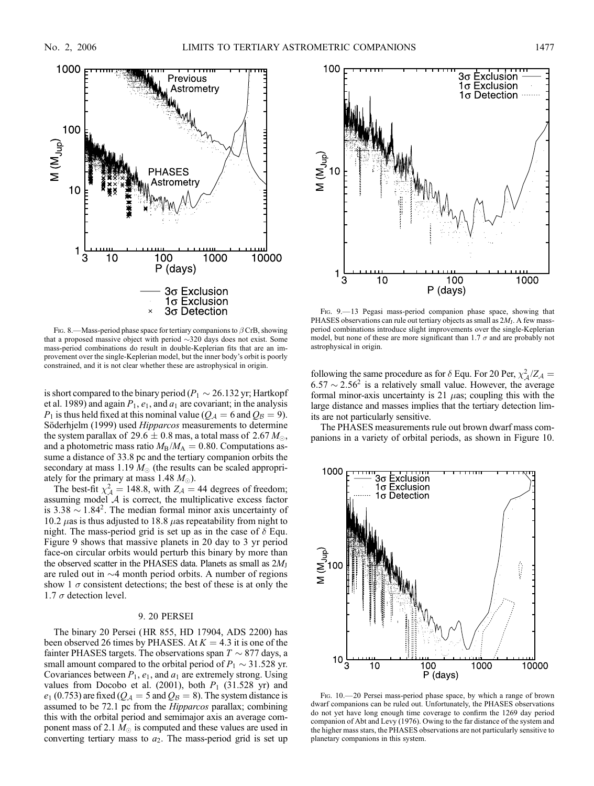

Fig. 8.—Mass-period phase space for tertiary companions to  $\beta$  CrB, showing that a proposed massive object with period  $\sim$ 320 days does not exist. Some mass-period combinations do result in double-Keplerian fits that are an improvement over the single-Keplerian model, but the inner body's orbit is poorly constrained, and it is not clear whether these are astrophysical in origin.

is short compared to the binary period ( $P_1 \sim 26.132$  yr; Hartkopf et al. 1989) and again  $P_1$ ,  $e_1$ , and  $a_1$  are covariant; in the analysis  $P_1$  is thus held fixed at this nominal value ( $Q_A = 6$  and  $Q_B = 9$ ). Söderhjelm (1999) used Hipparcos measurements to determine the system parallax of 29.6  $\pm$  0.8 mas, a total mass of 2.67  $M_{\odot}$ , and a photometric mass ratio  $M_B/M_A = 0.80$ . Computations assume a distance of 33.8 pc and the tertiary companion orbits the secondary at mass 1.19  $M_{\odot}$  (the results can be scaled appropriately for the primary at mass 1.48  $M_{\odot}$ ).

The best-fit  $\chi^2_{A} = 148.8$ , with  $Z_A = 44$  degrees of freedom; assuming model  $A$  is correct, the multiplicative excess factor is  $3.38 \sim 1.84^2$ . The median formal minor axis uncertainty of 10.2  $\mu$ as is thus adjusted to 18.8  $\mu$ as repeatability from night to night. The mass-period grid is set up as in the case of  $\delta$  Equ. Figure 9 shows that massive planets in 20 day to 3 yr period face-on circular orbits would perturb this binary by more than the observed scatter in the PHASES data. Planets as small as  $2M_J$ are ruled out in  $\sim$ 4 month period orbits. A number of regions show 1  $\sigma$  consistent detections; the best of these is at only the 1.7  $\sigma$  detection level.

# 9. 20 PERSEI

The binary 20 Persei (HR 855, HD 17904, ADS 2200) has been observed 26 times by PHASES. At  $K = 4.3$  it is one of the fainter PHASES targets. The observations span  $T \sim 877$  days, a small amount compared to the orbital period of  $P_1 \sim 31.528$  yr. Covariances between  $P_1$ ,  $e_1$ , and  $a_1$  are extremely strong. Using values from Docobo et al. (2001), both  $P_1$  (31.528 yr) and  $e_1$  (0.753) are fixed ( $Q_A = 5$  and  $Q_B = 8$ ). The system distance is assumed to be 72.1 pc from the Hipparcos parallax; combining this with the orbital period and semimajor axis an average component mass of 2.1  $M_{\odot}$  is computed and these values are used in converting tertiary mass to  $a_2$ . The mass-period grid is set up



F<sub>IG.</sub> 9.—13 Pegasi mass-period companion phase space, showing that PHASES observations can rule out tertiary objects as small as  $2M<sub>J</sub>$ . A few massperiod combinations introduce slight improvements over the single-Keplerian model, but none of these are more significant than 1.7  $\sigma$  and are probably not astrophysical in origin.

following the same procedure as for  $\delta$  Equ. For 20 Per,  $\chi^2$  /Z<sub>A</sub> =  $6.57 \sim 2.56^2$  is a relatively small value. However, the average formal minor-axis uncertainty is 21  $\mu$ as; coupling this with the large distance and masses implies that the tertiary detection limits are not particularly sensitive.

The PHASES measurements rule out brown dwarf mass companions in a variety of orbital periods, as shown in Figure 10.



Fig. 10.—20 Persei mass-period phase space, by which a range of brown dwarf companions can be ruled out. Unfortunately, the PHASES observations do not yet have long enough time coverage to confirm the 1269 day period companion of Abt and Levy (1976). Owing to the far distance of the system and the higher mass stars, the PHASES observations are not particularly sensitive to planetary companions in this system.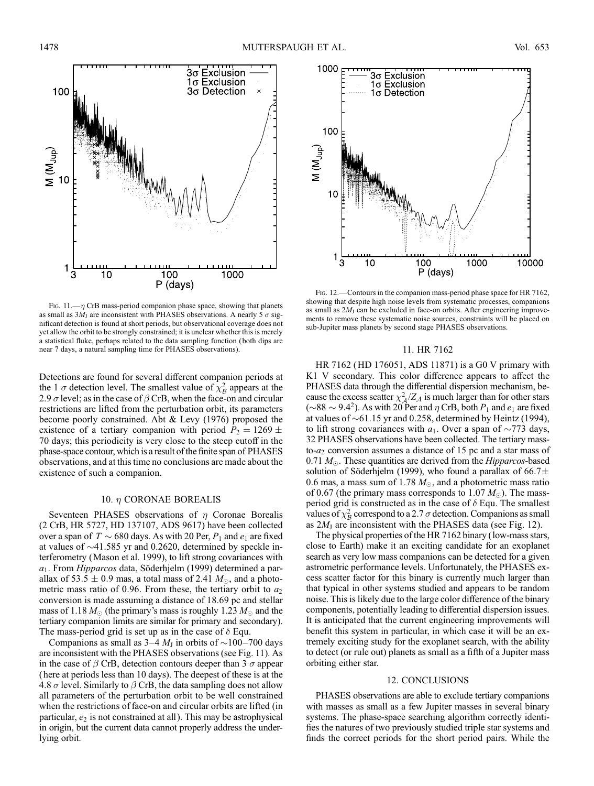

Fig. 11. $-\eta$  CrB mass-period companion phase space, showing that planets as small as  $3M_J$  are inconsistent with PHASES observations. A nearly  $\frac{2}{5} \sigma$  significant detection is found at short periods, but observational coverage does not yet allow the orbit to be strongly constrained; it is unclear whether this is merely a statistical fluke, perhaps related to the data sampling function ( both dips are near 7 days, a natural sampling time for PHASES observations).

Detections are found for several different companion periods at the 1  $\sigma$  detection level. The smallest value of  $\chi^2$  appears at the 2.9  $\sigma$  level; as in the case of  $\beta$  CrB, when the face-on and circular restrictions are lifted from the perturbation orbit, its parameters become poorly constrained. Abt & Levy (1976) proposed the existence of a tertiary companion with period  $P_2 = 1269 \pm 1269$ 70 days; this periodicity is very close to the steep cutoff in the phase-space contour, which is a result of the finite span of PHASES observations, and at this time no conclusions are made about the existence of such a companion.

### 10.  $\eta$  CORONAE BOREALIS

Seventeen PHASES observations of  $\eta$  Coronae Borealis (2 CrB, HR 5727, HD 137107, ADS 9617) have been collected over a span of  $T \sim 680$  days. As with 20 Per,  $P_1$  and  $e_1$  are fixed at values of  $\sim$ 41.585 yr and 0.2620, determined by speckle interferometry (Mason et al. 1999), to lift strong covariances with  $a_1$ . From Hipparcos data, Söderhjelm (1999) determined a parallax of 53.5  $\pm$  0.9 mas, a total mass of 2.41  $M_{\odot}$ , and a photometric mass ratio of 0.96. From these, the tertiary orbit to  $a_2$ conversion is made assuming a distance of 18.69 pc and stellar mass of 1.18  $M_{\odot}$  (the primary's mass is roughly 1.23  $M_{\odot}$  and the tertiary companion limits are similar for primary and secondary). The mass-period grid is set up as in the case of  $\delta$  Equ.

Companions as small as  $3-4$   $M_J$  in orbits of  $\sim$ 100–700 days are inconsistent with the PHASES observations (see Fig. 11). As in the case of  $\beta$  CrB, detection contours deeper than 3  $\sigma$  appear ( here at periods less than 10 days). The deepest of these is at the 4.8  $\sigma$  level. Similarly to  $\beta$  CrB, the data sampling does not allow all parameters of the perturbation orbit to be well constrained when the restrictions of face-on and circular orbits are lifted (in particular,  $e_2$  is not constrained at all). This may be astrophysical in origin, but the current data cannot properly address the underlying orbit.



Fig. 12.—Contours in the companion mass-period phase space for HR 7162, showing that despite high noise levels from systematic processes, companions as small as  $2M_J$  can be excluded in face-on orbits. After engineering improvements to remove these systematic noise sources, constraints will be placed on sub-Jupiter mass planets by second stage PHASES observations.

### 11. HR 7162

HR 7162 (HD 176051, ADS 11871) is a G0 V primary with K1 V secondary. This color difference appears to affect the PHASES data through the differential dispersion mechanism, because the excess scatter  $\chi^2_A/Z_A$  is much larger than for other stars ( $\sim$ 88  $\sim$  9.4<sup>2</sup>). As with 20 Per and  $\eta$  CrB, both  $P_1$  and  $e_1$  are fixed at values of  $\sim 61.15$  yr and 0.258, determined by Heintz (1994), to lift strong covariances with  $a_1$ . Over a span of  $\sim$ 773 days, 32 PHASES observations have been collected. The tertiary massto- $a_2$  conversion assumes a distance of 15 pc and a star mass of 0.71  $M_{\odot}$ . These quantities are derived from the *Hipparcos*-based solution of Söderhjelm (1999), who found a parallax of 66.7 $\pm$ 0.6 mas, a mass sum of 1.78  $M_{\odot}$ , and a photometric mass ratio of 0.67 (the primary mass corresponds to 1.07  $M_{\odot}$ ). The massperiod grid is constructed as in the case of  $\delta$  Equ. The smallest values of  $\chi^2_B$  correspond to a 2.7  $\sigma$  detection. Companions as small as  $2M_J$  are inconsistent with the PHASES data (see Fig. 12).

The physical properties of the HR 7162 binary (low-mass stars, close to Earth) make it an exciting candidate for an exoplanet search as very low mass companions can be detected for a given astrometric performance levels. Unfortunately, the PHASES excess scatter factor for this binary is currently much larger than that typical in other systems studied and appears to be random noise. This is likely due to the large color difference of the binary components, potentially leading to differential dispersion issues. It is anticipated that the current engineering improvements will benefit this system in particular, in which case it will be an extremely exciting study for the exoplanet search, with the ability to detect (or rule out) planets as small as a fifth of a Jupiter mass orbiting either star.

## 12. CONCLUSIONS

PHASES observations are able to exclude tertiary companions with masses as small as a few Jupiter masses in several binary systems. The phase-space searching algorithm correctly identifies the natures of two previously studied triple star systems and finds the correct periods for the short period pairs. While the